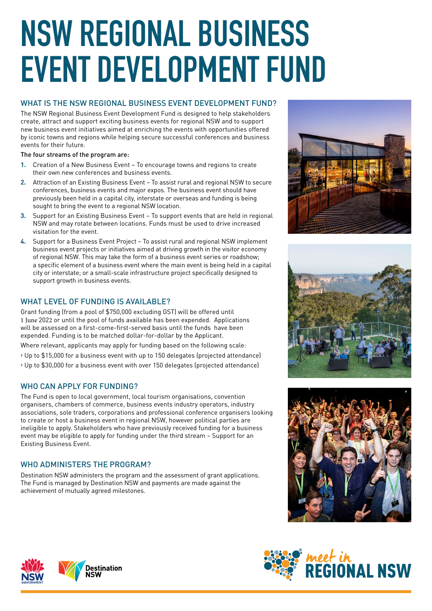# **NSW REGIONAL BUSINESS EVENT DEVELOPMENT FUND**

# WHAT IS THE NSW REGIONAL BUSINESS EVENT DEVELOPMENT FUND?

The NSW Regional Business Event Development Fund is designed to help stakeholders create, attract and support exciting business events for regional NSW and to support new business event initiatives aimed at enriching the events with opportunities offered by iconic towns and regions while helping secure successful conferences and business events for their future.

The four streams of the program are:

- **1.** Creation of a New Business Event To encourage towns and regions to create their own new conferences and business events.
- **2.** Attraction of an Existing Business Event To assist rural and regional NSW to secure conferences, business events and major expos. The business event should have previously been held in a capital city, interstate or overseas and funding is being sought to bring the event to a regional NSW location.
- **3.** Support for an Existing Business Event To support events that are held in regional NSW and may rotate between locations. Funds must be used to drive increased visitation for the event.
- **4.** Support for a Business Event Project To assist rural and regional NSW implement business event projects or initiatives aimed at driving growth in the visitor economy of regional NSW. This may take the form of a business event series or roadshow; a specific element of a business event where the main event is being held in a capital city or interstate; or a small-scale infrastructure project specifically designed to support growth in business events.

# WHAT LEVEL OF FUNDING IS AVAILABLE?

Grant funding (from a pool of \$750,000 excluding GST) will be offered until 1 June 2022 or until the pool of funds available has been expended. Applications will be assessed on a first-come-first-served basis until the funds have been expended. Funding is to be matched dollar-for-dollar by the Applicant.

Where relevant, applicants may apply for funding based on the following scale:

- › Up to \$15,000 for a business event with up to 150 delegates (projected attendance)
- › Up to \$30,000 for a business event with over 150 delegates (projected attendance)

## WHO CAN APPLY FOR FUNDING?

The Fund is open to local government, local tourism organisations, convention organisers, chambers of commerce, business events industry operators, industry associations, sole traders, corporations and professional conference organisers looking to create or host a business event in regional NSW, however political parties are ineligible to apply. Stakeholders who have previously received funding for a business event may be eligible to apply for funding under the third stream – Support for an Existing Business Event.

## WHO ADMINISTERS THE PROGRAM?

Destination NSW administers the program and the assessment of grant applications. The Fund is managed by Destination NSW and payments are made against the achievement of mutually agreed milestones.